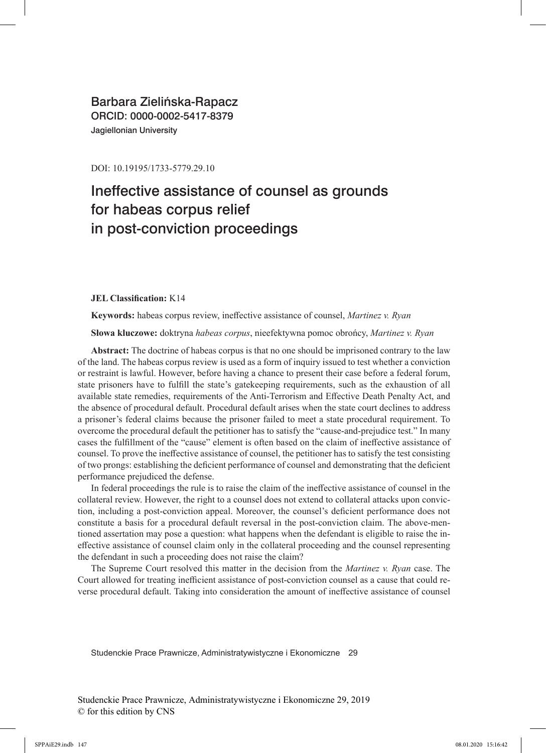Barbara Zielińska-Rapacz ORCID: 0000-0002-5417-8379 Jagiellonian University

DOI: 10.19195/1733-5779.29.10

# Ineffective assistance of counsel as grounds for habeas corpus relief in post-conviction proceedings

#### **JEL Classification:** K14

**Keywords:** habeas corpus review, ineffective assistance of counsel, *Martinez v. Ryan*

**Słowa kluczowe:** doktryna *habeas corpus*, nieefektywna pomoc obrońcy, *Martinez v. Ryan*

**Abstract:** The doctrine of habeas corpus is that no one should be imprisoned contrary to the law of the land. The habeas corpus review is used as a form of inquiry issued to test whether a conviction or restraint is lawful. However, before having a chance to present their case before a federal forum, state prisoners have to fulfill the state's gatekeeping requirements, such as the exhaustion of all available state remedies, requirements of the Anti-Terrorism and Effective Death Penalty Act, and the absence of procedural default. Procedural default arises when the state court declines to address a prisoner's federal claims because the prisoner failed to meet a state procedural requirement. To overcome the procedural default the petitioner has to satisfy the "cause-and-prejudice test." In many cases the fulfillment of the "cause" element is often based on the claim of ineffective assistance of counsel. To prove the ineffective assistance of counsel, the petitioner has to satisfy the test consisting of two prongs: establishing the deficient performance of counsel and demonstrating that the deficient performance prejudiced the defense.

In federal proceedings the rule is to raise the claim of the ineffective assistance of counsel in the collateral review. However, the right to a counsel does not extend to collateral attacks upon conviction, including a post-conviction appeal. Moreover, the counsel's deficient performance does not constitute a basis for a procedural default reversal in the post-conviction claim. The above-mentioned assertation may pose a question: what happens when the defendant is eligible to raise the ineffective assistance of counsel claim only in the collateral proceeding and the counsel representing the defendant in such a proceeding does not raise the claim?

The Supreme Court resolved this matter in the decision from the *Martinez v. Ryan* case. The Court allowed for treating inefficient assistance of post-conviction counsel as a cause that could reverse procedural default. Taking into consideration the amount of ineffective assistance of counsel

Studenckie Prace Prawnicze, Administratywistyczne i Ekonomiczne 29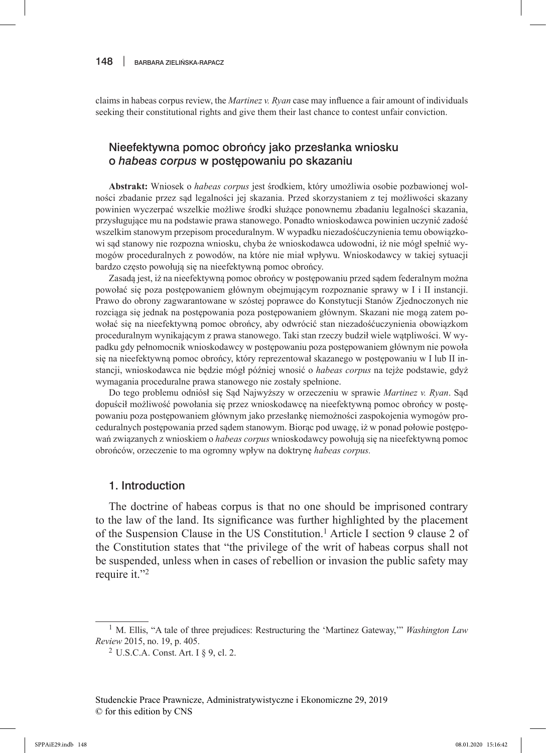claims in habeas corpus review, the *Martinez v. Ryan* case may influence a fair amount of individuals seeking their constitutional rights and give them their last chance to contest unfair conviction.

### Nieefektywna pomoc obrońcy jako przesłanka wniosku o *habeas corpus* w postępowaniu po skazaniu

**Abstrakt:** Wniosek o *habeas corpus* jest środkiem, który umożliwia osobie pozbawionej wolności zbadanie przez sąd legalności jej skazania. Przed skorzystaniem z tej możliwości skazany powinien wyczerpać wszelkie możliwe środki służące ponownemu zbadaniu legalności skazania, przysługujące mu na podstawie prawa stanowego. Ponadto wnioskodawca powinien uczynić zadość wszelkim stanowym przepisom proceduralnym. W wypadku niezadośćuczynienia temu obowiązkowi sąd stanowy nie rozpozna wniosku, chyba że wnioskodawca udowodni, iż nie mógł spełnić wymogów proceduralnych z powodów, na które nie miał wpływu. Wnioskodawcy w takiej sytuacji bardzo często powołują się na nieefektywną pomoc obrońcy.

Zasadą jest, iż na nieefektywną pomoc obrońcy w postępowaniu przed sądem federalnym można powołać się poza postępowaniem głównym obejmującym rozpoznanie sprawy w I i II instancji. Prawo do obrony zagwarantowane w szóstej poprawce do Konstytucji Stanów Zjednoczonych nie rozciąga się jednak na postępowania poza postępowaniem głównym. Skazani nie mogą zatem powołać się na nieefektywną pomoc obrońcy, aby odwrócić stan niezadośćuczynienia obowiązkom proceduralnym wynikającym z prawa stanowego. Taki stan rzeczy budził wiele wątpliwości. W wypadku gdy pełnomocnik wnioskodawcy w postępowaniu poza postępowaniem głównym nie powoła się na nieefektywną pomoc obrońcy, który reprezentował skazanego w postępowaniu w I lub II instancji, wnioskodawca nie będzie mógł później wnosić o *habeas corpus* na tejże podstawie, gdyż wymagania proceduralne prawa stanowego nie zostały spełnione.

Do tego problemu odniósł się Sąd Najwyższy w orzeczeniu w sprawie *Martinez v. Ryan*. Sąd dopuścił możliwość powołania się przez wnioskodawcę na nieefektywną pomoc obrońcy w postępowaniu poza postępowaniem głównym jako przesłankę niemożności zaspokojenia wymogów proceduralnych postępowania przed sądem stanowym. Biorąc pod uwagę, iż w ponad połowie postępowań związanych z wnioskiem o *habeas corpus* wnioskodawcy powołują się na nieefektywną pomoc obrońców, orzeczenie to ma ogromny wpływ na doktrynę *habeas corpus.*

### 1. Introduction

The doctrine of habeas corpus is that no one should be imprisoned contrary to the law of the land. Its significance was further highlighted by the placement of the Suspension Clause in the US Constitution.<sup>1</sup> Article I section 9 clause 2 of the Constitution states that "the privilege of the writ of habeas corpus shall not be suspended, unless when in cases of rebellion or invasion the public safety may require it."<sup>2</sup>

<sup>1</sup> M. Ellis, "A tale of three prejudices: Restructuring the 'Martinez Gateway,'" *Washington Law Review* 2015, no. 19, p. 405.

<sup>2</sup> U.S.C.A. Const. Art. I § 9, cl. 2.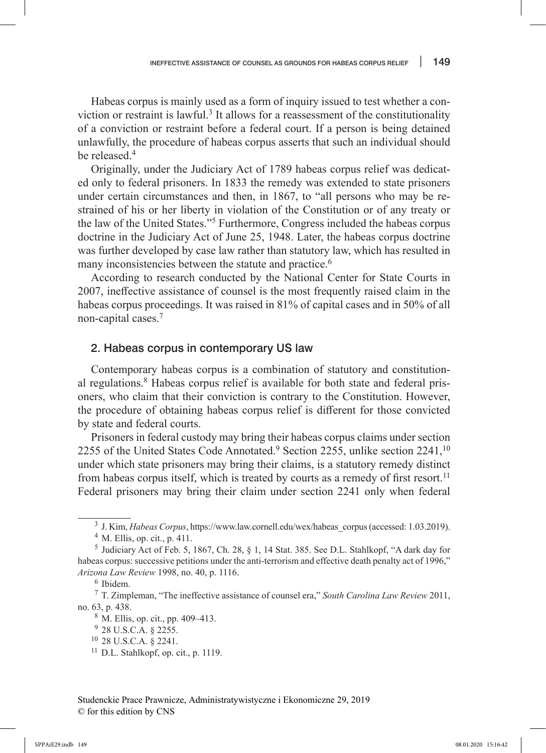Habeas corpus is mainly used as a form of inquiry issued to test whether a conviction or restraint is lawful.<sup>3</sup> It allows for a reassessment of the constitutionality of a conviction or restraint before a federal court. If a person is being detained unlawfully, the procedure of habeas corpus asserts that such an individual should be released.<sup>4</sup>

Originally, under the Judiciary Act of 1789 habeas corpus relief was dedicated only to federal prisoners. In 1833 the remedy was extended to state prisoners under certain circumstances and then, in 1867, to "all persons who may be restrained of his or her liberty in violation of the Constitution or of any treaty or the law of the United States."<sup>5</sup> Furthermore, Congress included the habeas corpus doctrine in the Judiciary Act of June 25, 1948. Later, the habeas corpus doctrine was further developed by case law rather than statutory law, which has resulted in many inconsistencies between the statute and practice.<sup>6</sup>

According to research conducted by the National Center for State Courts in 2007, ineffective assistance of counsel is the most frequently raised claim in the habeas corpus proceedings. It was raised in 81% of capital cases and in 50% of all non-capital cases.<sup>7</sup>

### 2. Habeas corpus in contemporary US law

Contemporary habeas corpus is a combination of statutory and constitutional regulations.8 Habeas corpus relief is available for both state and federal prisoners, who claim that their conviction is contrary to the Constitution. However, the procedure of obtaining habeas corpus relief is different for those convicted by state and federal courts.

Prisoners in federal custody may bring their habeas corpus claims under section 2255 of the United States Code Annotated.<sup>9</sup> Section 2255, unlike section 2241,<sup>10</sup> under which state prisoners may bring their claims, is a statutory remedy distinct from habeas corpus itself, which is treated by courts as a remedy of first resort.<sup>11</sup> Federal prisoners may bring their claim under section 2241 only when federal

<sup>3</sup> J. Kim, *Habeas Corpus*, https://www.law.cornell.edu/wex/habeas\_corpus (accessed: 1.03.2019).

<sup>4</sup> M. Ellis, op. cit., p. 411.

<sup>5</sup> Judiciary Act of Feb. 5, 1867, Ch. 28, § 1, 14 Stat. 385. See D.L. Stahlkopf, "A dark day for habeas corpus: successive petitions under the anti-terrorism and effective death penalty act of 1996," *Arizona Law Review* 1998, no. 40, p. 1116.

<sup>6</sup> Ibidem.

<sup>7</sup> T. Zimpleman, "The ineffective assistance of counsel era," *South Carolina Law Review* 2011, no. 63, p. 438.

<sup>8</sup> M. Ellis, op. cit., pp. 409–413.

<sup>9</sup> 28 U.S.C.A. § 2255.

<sup>10</sup> 28 U.S.C.A. § 2241.

 $11$  D.L. Stahlkopf, op. cit., p. 1119.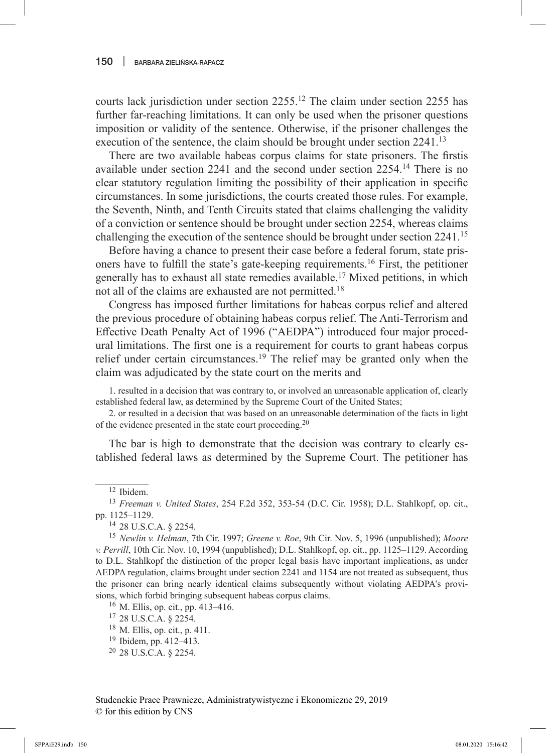courts lack jurisdiction under section 2255.<sup>12</sup> The claim under section 2255 has further far-reaching limitations. It can only be used when the prisoner questions imposition or validity of the sentence. Otherwise, if the prisoner challenges the execution of the sentence, the claim should be brought under section 2241.<sup>13</sup>

There are two available habeas corpus claims for state prisoners. The firstis available under section 2241 and the second under section 2254.14 There is no clear statutory regulation limiting the possibility of their application in specific circumstances. In some jurisdictions, the courts created those rules. For example, the Seventh, Ninth, and Tenth Circuits stated that claims challenging the validity of a conviction or sentence should be brought under section 2254, whereas claims challenging the execution of the sentence should be brought under section 2241.<sup>15</sup>

Before having a chance to present their case before a federal forum, state prisoners have to fulfill the state's gate-keeping requirements.16 First, the petitioner generally has to exhaust all state remedies available.<sup>17</sup> Mixed petitions, in which not all of the claims are exhausted are not permitted.18

Congress has imposed further limitations for habeas corpus relief and altered the previous procedure of obtaining habeas corpus relief. The Anti-Terrorism and Effective Death Penalty Act of 1996 ("AEDPA") introduced four major procedural limitations. The first one is a requirement for courts to grant habeas corpus relief under certain circumstances.<sup>19</sup> The relief may be granted only when the claim was adjudicated by the state court on the merits and

1. resulted in a decision that was contrary to, or involved an unreasonable application of, clearly established federal law, as determined by the Supreme Court of the United States;

2. or resulted in a decision that was based on an unreasonable determination of the facts in light of the evidence presented in the state court proceeding.<sup>20</sup>

The bar is high to demonstrate that the decision was contrary to clearly established federal laws as determined by the Supreme Court. The petitioner has

<sup>20</sup> 28 U.S.C.A. § 2254.

<sup>12</sup> Ibidem.

<sup>13</sup> *Freeman v. United States*, 254 F.2d 352, 353-54 (D.C. Cir. 1958); D.L. Stahlkopf, op. cit., pp. 1125–1129.

<sup>14</sup> 28 U.S.C.A. § 2254.

<sup>15</sup> *Newlin v. Helman*, 7th Cir. 1997; *Greene v. Roe*, 9th Cir. Nov. 5, 1996 (unpublished); *Moore v. Perrill*, 10th Cir. Nov. 10, 1994 (unpublished); D.L. Stahlkopf, op. cit., pp. 1125–1129. According to D.L. Stahlkopf the distinction of the proper legal basis have important implications, as under AEDPA regulation, claims brought under section 2241 and 1154 are not treated as subsequent, thus the prisoner can bring nearly identical claims subsequently without violating AEDPA's provisions, which forbid bringing subsequent habeas corpus claims.

<sup>&</sup>lt;sup>16</sup> M. Ellis, op. cit., pp. 413–416.

<sup>17</sup> 28 U.S.C.A. § 2254.

<sup>18</sup> M. Ellis, op. cit., p. 411.

<sup>19</sup> Ibidem, pp. 412–413.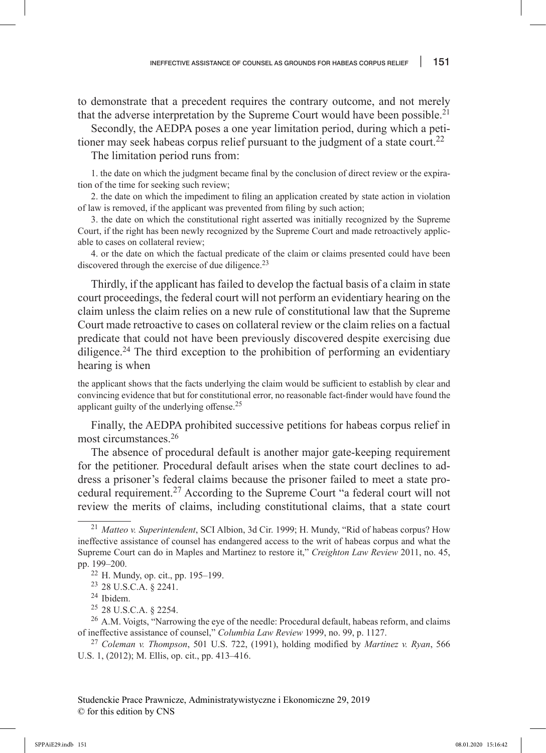to demonstrate that a precedent requires the contrary outcome, and not merely that the adverse interpretation by the Supreme Court would have been possible.<sup>21</sup>

Secondly, the AEDPA poses a one year limitation period, during which a petitioner may seek habeas corpus relief pursuant to the judgment of a state court.<sup>22</sup>

The limitation period runs from:

1. the date on which the judgment became final by the conclusion of direct review or the expiration of the time for seeking such review;

2. the date on which the impediment to filing an application created by state action in violation of law is removed, if the applicant was prevented from filing by such action;

3. the date on which the constitutional right asserted was initially recognized by the Supreme Court, if the right has been newly recognized by the Supreme Court and made retroactively applicable to cases on collateral review;

4. or the date on which the factual predicate of the claim or claims presented could have been discovered through the exercise of due diligence.<sup>23</sup>

Thirdly, if the applicant has failed to develop the factual basis of a claim in state court proceedings, the federal court will not perform an evidentiary hearing on the claim unless the claim relies on a new rule of constitutional law that the Supreme Court made retroactive to cases on collateral review or the claim relies on a factual predicate that could not have been previously discovered despite exercising due diligence.<sup>24</sup> The third exception to the prohibition of performing an evidentiary hearing is when

the applicant shows that the facts underlying the claim would be sufficient to establish by clear and convincing evidence that but for constitutional error, no reasonable fact-finder would have found the applicant guilty of the underlying offense.<sup>25</sup>

Finally, the AEDPA prohibited successive petitions for habeas corpus relief in most circumstances.26

The absence of procedural default is another major gate-keeping requirement for the petitioner. Procedural default arises when the state court declines to address a prisoner's federal claims because the prisoner failed to meet a state procedural requirement.27 According to the Supreme Court "a federal court will not review the merits of claims, including constitutional claims, that a state court

<sup>23</sup> 28 U.S.C.A. § 2241.

<sup>25</sup> 28 U.S.C.A. § 2254.

<sup>26</sup> A.M. Voigts, "Narrowing the eye of the needle: Procedural default, habeas reform, and claims of ineffective assistance of counsel," *Columbia Law Review* 1999, no. 99, p. 1127.

<sup>27</sup> *Coleman v. Thompson*, 501 U.S. 722, (1991), holding modified by *Martinez v. Ryan*, 566 U.S. 1, (2012); M. Ellis, op. cit., pp. 413–416.

<sup>21</sup> *Matteo v. Superintendent*, SCI Albion, 3d Cir. 1999; H. Mundy, "Rid of habeas corpus? How ineffective assistance of counsel has endangered access to the writ of habeas corpus and what the Supreme Court can do in Maples and Martinez to restore it," *Creighton Law Review* 2011, no. 45, pp. 199–200.

<sup>22</sup> H. Mundy, op. cit., pp. 195–199.

<sup>24</sup> Ibidem.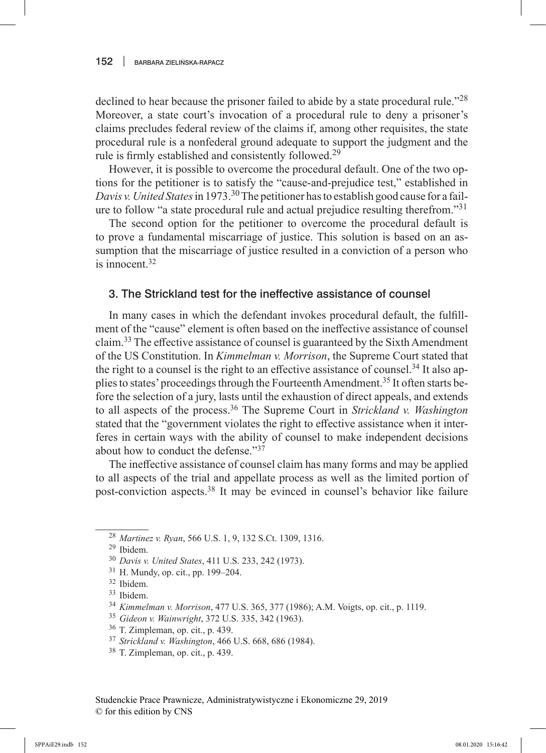declined to hear because the prisoner failed to abide by a state procedural rule."<sup>28</sup> Moreover, a state court's invocation of a procedural rule to deny a prisoner's claims precludes federal review of the claims if, among other requisites, the state procedural rule is a nonfederal ground adequate to support the judgment and the rule is firmly established and consistently followed.<sup>29</sup>

However, it is possible to overcome the procedural default. One of the two options for the petitioner is to satisfy the "cause-and-prejudice test," established in *Davis v. United States* in 1973.30 The petitioner has to establish good cause for a failure to follow "a state procedural rule and actual prejudice resulting therefrom."<sup>31</sup>

The second option for the petitioner to overcome the procedural default is to prove a fundamental miscarriage of justice. This solution is based on an assumption that the miscarriage of justice resulted in a conviction of a person who is innocent.<sup>32</sup>

### 3. The Strickland test for the ineffective assistance of counsel

In many cases in which the defendant invokes procedural default, the fulfillment of the "cause" element is often based on the ineffective assistance of counsel claim.<sup>33</sup> The effective assistance of counsel is guaranteed by the Sixth Amendment of the US Constitution. In *Kimmelman v. Morrison*, the Supreme Court stated that the right to a counsel is the right to an effective assistance of counsel.<sup>34</sup> It also applies to states' proceedings through the Fourteenth Amendment.35 It often starts before the selection of a jury, lasts until the exhaustion of direct appeals, and extends to all aspects of the process.36 The Supreme Court in *Strickland v. Washington* stated that the "government violates the right to effective assistance when it interferes in certain ways with the ability of counsel to make independent decisions about how to conduct the defense."<sup>37</sup>

The ineffective assistance of counsel claim has many forms and may be applied to all aspects of the trial and appellate process as well as the limited portion of post-conviction aspects.38 It may be evinced in counsel's behavior like failure

- <sup>35</sup> *Gideon v. Wainwright*, 372 U.S. 335, 342 (1963).
- <sup>36</sup> T. Zimpleman, op. cit., p. 439.
- <sup>37</sup> *Strickland v. Washington*, 466 U.S. 668, 686 (1984).
- <sup>38</sup> T. Zimpleman, op. cit., p. 439.

<sup>28</sup> *Martinez v. Ryan*, 566 U.S. 1, 9, 132 S.Ct. 1309, 1316.

<sup>29</sup> Ibidem.

<sup>30</sup> *Davis v. United States*, 411 U.S. 233, 242 (1973).

<sup>31</sup> H. Mundy, op. cit., pp. 199–204.

<sup>32</sup> Ibidem.

<sup>33</sup> Ibidem.

<sup>34</sup> *Kimmelman v. Morrison*, 477 U.S. 365, 377 (1986); A.M. Voigts, op. cit., p. 1119.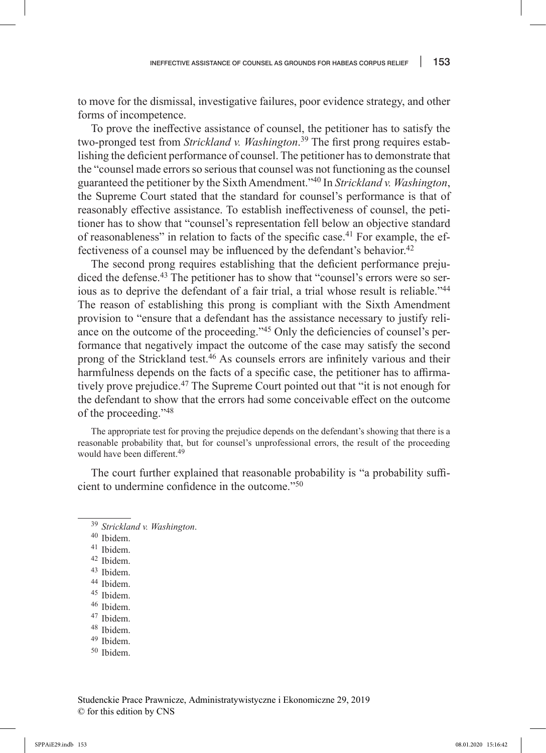to move for the dismissal, investigative failures, poor evidence strategy, and other forms of incompetence.

To prove the ineffective assistance of counsel, the petitioner has to satisfy the two-pronged test from *Strickland v. Washington*. 39 The first prong requires establishing the deficient performance of counsel. The petitioner has to demonstrate that the "counsel made errors so serious that counsel was not functioning as the counsel guaranteed the petitioner by the Sixth Amendment."40 In *Strickland v. Washington*, the Supreme Court stated that the standard for counsel's performance is that of reasonably effective assistance. To establish ineffectiveness of counsel, the petitioner has to show that "counsel's representation fell below an objective standard of reasonableness" in relation to facts of the specific case.<sup>41</sup> For example, the effectiveness of a counsel may be influenced by the defendant's behavior.<sup>42</sup>

The second prong requires establishing that the deficient performance prejudiced the defense.<sup>43</sup> The petitioner has to show that "counsel's errors were so serious as to deprive the defendant of a fair trial, a trial whose result is reliable."<sup>44</sup> The reason of establishing this prong is compliant with the Sixth Amendment provision to "ensure that a defendant has the assistance necessary to justify reliance on the outcome of the proceeding."<sup>45</sup> Only the deficiencies of counsel's performance that negatively impact the outcome of the case may satisfy the second prong of the Strickland test.46 As counsels errors are infinitely various and their harmfulness depends on the facts of a specific case, the petitioner has to affirmatively prove prejudice.<sup>47</sup> The Supreme Court pointed out that "it is not enough for the defendant to show that the errors had some conceivable effect on the outcome of the proceeding."48

The appropriate test for proving the prejudice depends on the defendant's showing that there is a reasonable probability that, but for counsel's unprofessional errors, the result of the proceeding would have been different.<sup>49</sup>

The court further explained that reasonable probability is "a probability sufficient to undermine confidence in the outcome."<sup>50</sup>

<sup>49</sup> Ibidem.

<sup>39</sup> *Strickland v. Washington*.

<sup>40</sup> Ibidem.

<sup>41</sup> Ibidem.

<sup>42</sup> Ibidem.

<sup>43</sup> Ibidem.

<sup>44</sup> Ibidem.

<sup>45</sup> Ibidem.

<sup>46</sup> Ibidem.

<sup>47</sup> Ibidem.

<sup>48</sup> Ibidem.

<sup>50</sup> Ibidem.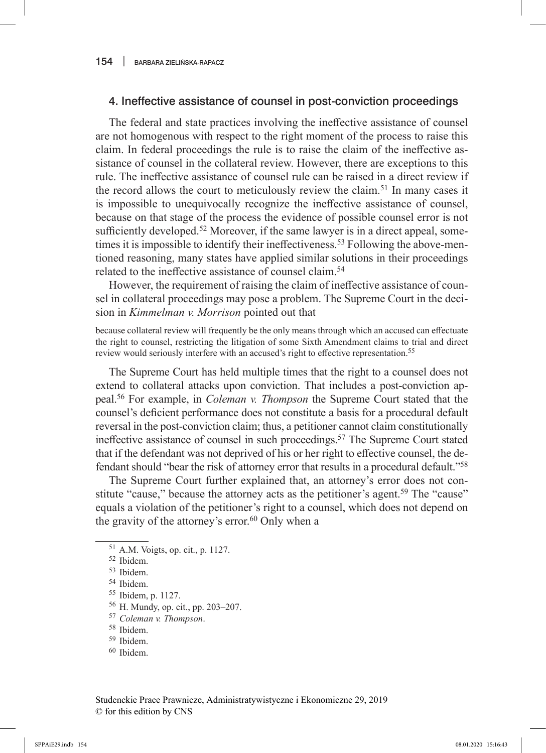## 4. Ineffective assistance of counsel in post-conviction proceedings

The federal and state practices involving the ineffective assistance of counsel are not homogenous with respect to the right moment of the process to raise this claim. In federal proceedings the rule is to raise the claim of the ineffective assistance of counsel in the collateral review. However, there are exceptions to this rule. The ineffective assistance of counsel rule can be raised in a direct review if the record allows the court to meticulously review the claim.<sup>51</sup> In many cases it is impossible to unequivocally recognize the ineffective assistance of counsel, because on that stage of the process the evidence of possible counsel error is not sufficiently developed.<sup>52</sup> Moreover, if the same lawyer is in a direct appeal, sometimes it is impossible to identify their ineffectiveness.<sup>53</sup> Following the above-mentioned reasoning, many states have applied similar solutions in their proceedings related to the ineffective assistance of counsel claim.<sup>54</sup>

However, the requirement of raising the claim of ineffective assistance of counsel in collateral proceedings may pose a problem. The Supreme Court in the decision in *Kimmelman v. Morrison* pointed out that

because collateral review will frequently be the only means through which an accused can effectuate the right to counsel, restricting the litigation of some Sixth Amendment claims to trial and direct review would seriously interfere with an accused's right to effective representation.<sup>55</sup>

The Supreme Court has held multiple times that the right to a counsel does not extend to collateral attacks upon conviction. That includes a post-conviction appeal.56 For example, in *Coleman v. Thompson* the Supreme Court stated that the counsel's deficient performance does not constitute a basis for a procedural default reversal in the post-conviction claim; thus, a petitioner cannot claim constitutionally ineffective assistance of counsel in such proceedings.<sup>57</sup> The Supreme Court stated that if the defendant was not deprived of his or her right to effective counsel, the defendant should "bear the risk of attorney error that results in a procedural default."58

The Supreme Court further explained that, an attorney's error does not constitute "cause," because the attorney acts as the petitioner's agent.<sup>59</sup> The "cause" equals a violation of the petitioner's right to a counsel, which does not depend on the gravity of the attorney's error.<sup>60</sup> Only when a

- <sup>56</sup> H. Mundy, op. cit., pp. 203–207.
- <sup>57</sup> *Coleman v. Thompson*.
- <sup>58</sup> Ibidem.
- <sup>59</sup> Ibidem.
- <sup>60</sup> Ibidem.

<sup>51</sup> A.M. Voigts, op. cit., p. 1127.

<sup>52</sup> Ibidem.

<sup>53</sup> Ibidem.

<sup>54</sup> Ibidem.

<sup>55</sup> Ibidem, p. 1127.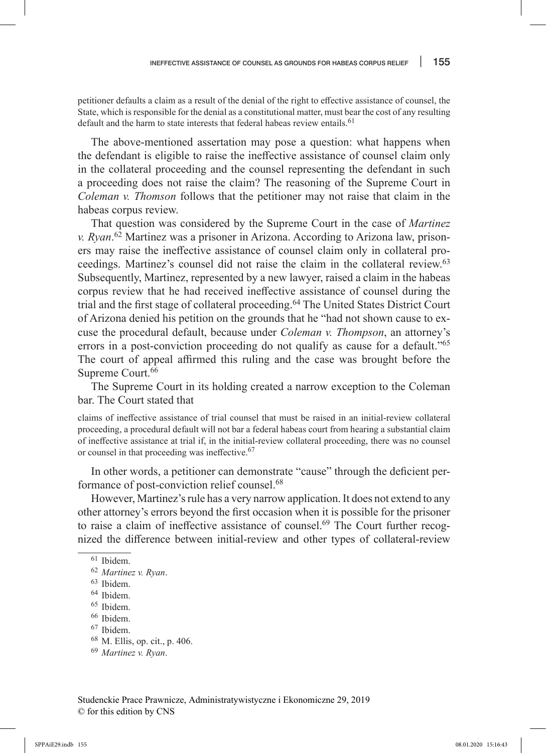petitioner defaults a claim as a result of the denial of the right to effective assistance of counsel, the State, which is responsible for the denial as a constitutional matter, must bear the cost of any resulting default and the harm to state interests that federal habeas review entails.<sup>61</sup>

The above-mentioned assertation may pose a question: what happens when the defendant is eligible to raise the ineffective assistance of counsel claim only in the collateral proceeding and the counsel representing the defendant in such a proceeding does not raise the claim? The reasoning of the Supreme Court in *Coleman v. Thomson* follows that the petitioner may not raise that claim in the habeas corpus review.

That question was considered by the Supreme Court in the case of *Martinez v. Ryan*. 62 Martinez was a prisoner in Arizona. According to Arizona law, prisoners may raise the ineffective assistance of counsel claim only in collateral proceedings. Martinez's counsel did not raise the claim in the collateral review.63 Subsequently, Martinez, represented by a new lawyer, raised a claim in the habeas corpus review that he had received ineffective assistance of counsel during the trial and the first stage of collateral proceeding.<sup>64</sup> The United States District Court of Arizona denied his petition on the grounds that he "had not shown cause to excuse the procedural default, because under *Coleman v. Thompson*, an attorney's errors in a post-conviction proceeding do not qualify as cause for a default."<sup>65</sup> The court of appeal affirmed this ruling and the case was brought before the Supreme Court.<sup>66</sup>

The Supreme Court in its holding created a narrow exception to the Coleman bar. The Court stated that

claims of ineffective assistance of trial counsel that must be raised in an initial-review collateral proceeding, a procedural default will not bar a federal habeas court from hearing a substantial claim of ineffective assistance at trial if, in the initial-review collateral proceeding, there was no counsel or counsel in that proceeding was ineffective.<sup>67</sup>

In other words, a petitioner can demonstrate "cause" through the deficient performance of post-conviction relief counsel.68

However, Martinez's rule has a very narrow application. It does not extend to any other attorney's errors beyond the first occasion when it is possible for the prisoner to raise a claim of ineffective assistance of counsel.<sup>69</sup> The Court further recognized the difference between initial-review and other types of collateral-review

<sup>64</sup> Ibidem.

- <sup>66</sup> Ibidem.
- <sup>67</sup> Ibidem.
- <sup>68</sup> M. Ellis, op. cit., p. 406.

<sup>61</sup> Ibidem.

<sup>62</sup> *Martinez v. Ryan*.

<sup>63</sup> Ibidem.

<sup>65</sup> Ibidem.

<sup>69</sup> *Martinez v. Ryan*.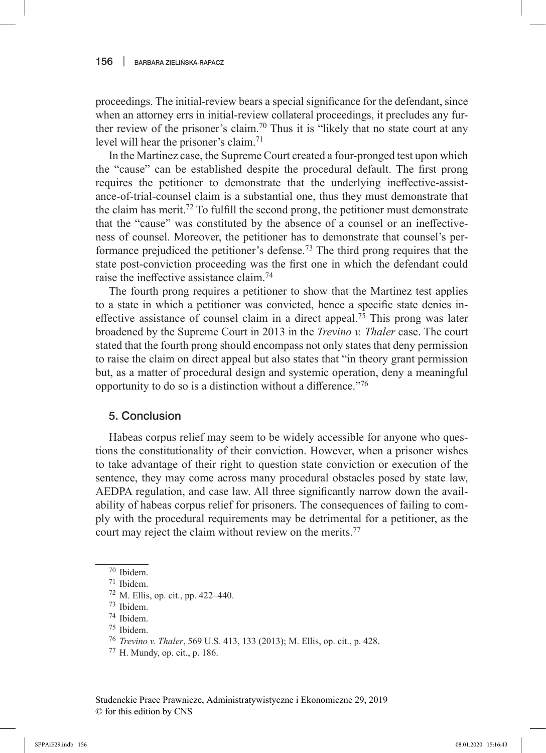proceedings. The initial-review bears a special significance for the defendant, since when an attorney errs in initial-review collateral proceedings, it precludes any further review of the prisoner's claim.<sup>70</sup> Thus it is "likely that no state court at any level will hear the prisoner's claim.<sup>71</sup>

In the Martinez case, the Supreme Court created a four-pronged test upon which the "cause" can be established despite the procedural default. The first prong requires the petitioner to demonstrate that the underlying ineffective-assistance-of-trial-counsel claim is a substantial one, thus they must demonstrate that the claim has merit.<sup>72</sup> To fulfill the second prong, the petitioner must demonstrate that the "cause" was constituted by the absence of a counsel or an ineffectiveness of counsel. Moreover, the petitioner has to demonstrate that counsel's performance prejudiced the petitioner's defense.<sup>73</sup> The third prong requires that the state post-conviction proceeding was the first one in which the defendant could raise the ineffective assistance claim.<sup>74</sup>

The fourth prong requires a petitioner to show that the Martinez test applies to a state in which a petitioner was convicted, hence a specific state denies ineffective assistance of counsel claim in a direct appeal.<sup>75</sup> This prong was later broadened by the Supreme Court in 2013 in the *Trevino v. Thaler* case. The court stated that the fourth prong should encompass not only states that deny permission to raise the claim on direct appeal but also states that "in theory grant permission but, as a matter of procedural design and systemic operation, deny a meaningful opportunity to do so is a distinction without a difference."76

### 5. Conclusion

Habeas corpus relief may seem to be widely accessible for anyone who questions the constitutionality of their conviction. However, when a prisoner wishes to take advantage of their right to question state conviction or execution of the sentence, they may come across many procedural obstacles posed by state law, AEDPA regulation, and case law. All three significantly narrow down the availability of habeas corpus relief for prisoners. The consequences of failing to comply with the procedural requirements may be detrimental for a petitioner, as the court may reject the claim without review on the merits.<sup>77</sup>

<sup>75</sup> Ibidem.

<sup>70</sup> Ibidem.

<sup>71</sup> Ibidem.

 $72$  M. Ellis, op. cit., pp. 422–440.

<sup>73</sup> Ibidem.

<sup>74</sup> Ibidem.

<sup>76</sup> *Trevino v. Thaler*, 569 U.S. 413, 133 (2013); M. Ellis, op. cit., p. 428.

<sup>77</sup> H. Mundy, op. cit., p. 186.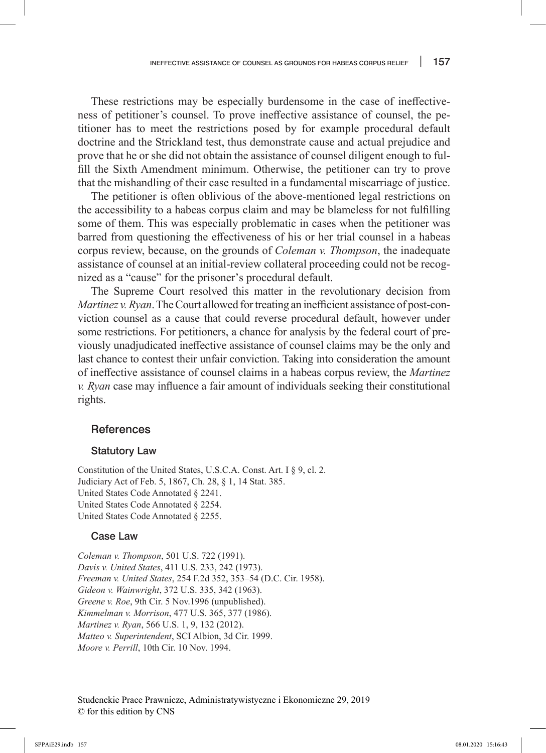These restrictions may be especially burdensome in the case of ineffectiveness of petitioner's counsel. To prove ineffective assistance of counsel, the petitioner has to meet the restrictions posed by for example procedural default doctrine and the Strickland test, thus demonstrate cause and actual prejudice and prove that he or she did not obtain the assistance of counsel diligent enough to fulfill the Sixth Amendment minimum. Otherwise, the petitioner can try to prove that the mishandling of their case resulted in a fundamental miscarriage of justice.

The petitioner is often oblivious of the above-mentioned legal restrictions on the accessibility to a habeas corpus claim and may be blameless for not fulfilling some of them. This was especially problematic in cases when the petitioner was barred from questioning the effectiveness of his or her trial counsel in a habeas corpus review, because, on the grounds of *Coleman v. Thompson*, the inadequate assistance of counsel at an initial-review collateral proceeding could not be recognized as a "cause" for the prisoner's procedural default.

The Supreme Court resolved this matter in the revolutionary decision from *Martinez v.Ryan*. The Court allowed for treating an inefficient assistance of post-conviction counsel as a cause that could reverse procedural default, however under some restrictions. For petitioners, a chance for analysis by the federal court of previously unadjudicated ineffective assistance of counsel claims may be the only and last chance to contest their unfair conviction. Taking into consideration the amount of ineffective assistance of counsel claims in a habeas corpus review, the *Martinez v. Ryan* case may influence a fair amount of individuals seeking their constitutional rights.

### References

#### Statutory Law

Constitution of the United States, U.S.C.A. Const. Art. I § 9, cl. 2. Judiciary Act of Feb. 5, 1867, Ch. 28, § 1, 14 Stat. 385. United States Code Annotated § 2241. United States Code Annotated § 2254. United States Code Annotated § 2255.

#### Case Law

*Coleman v. Thompson*, 501 U.S. 722 (1991). *Davis v. United States*, 411 U.S. 233, 242 (1973). *Freeman v. United States*, 254 F.2d 352, 353–54 (D.C. Cir. 1958). *Gideon v. Wainwright*, 372 U.S. 335, 342 (1963). *Greene v. Roe*, 9th Cir. 5 Nov.1996 (unpublished). *Kimmelman v. Morrison*, 477 U.S. 365, 377 (1986). *Martinez v. Ryan*, 566 U.S. 1, 9, 132 (2012). *Matteo v. Superintendent*, SCI Albion, 3d Cir. 1999. *Moore v. Perrill*, 10th Cir. 10 Nov. 1994.